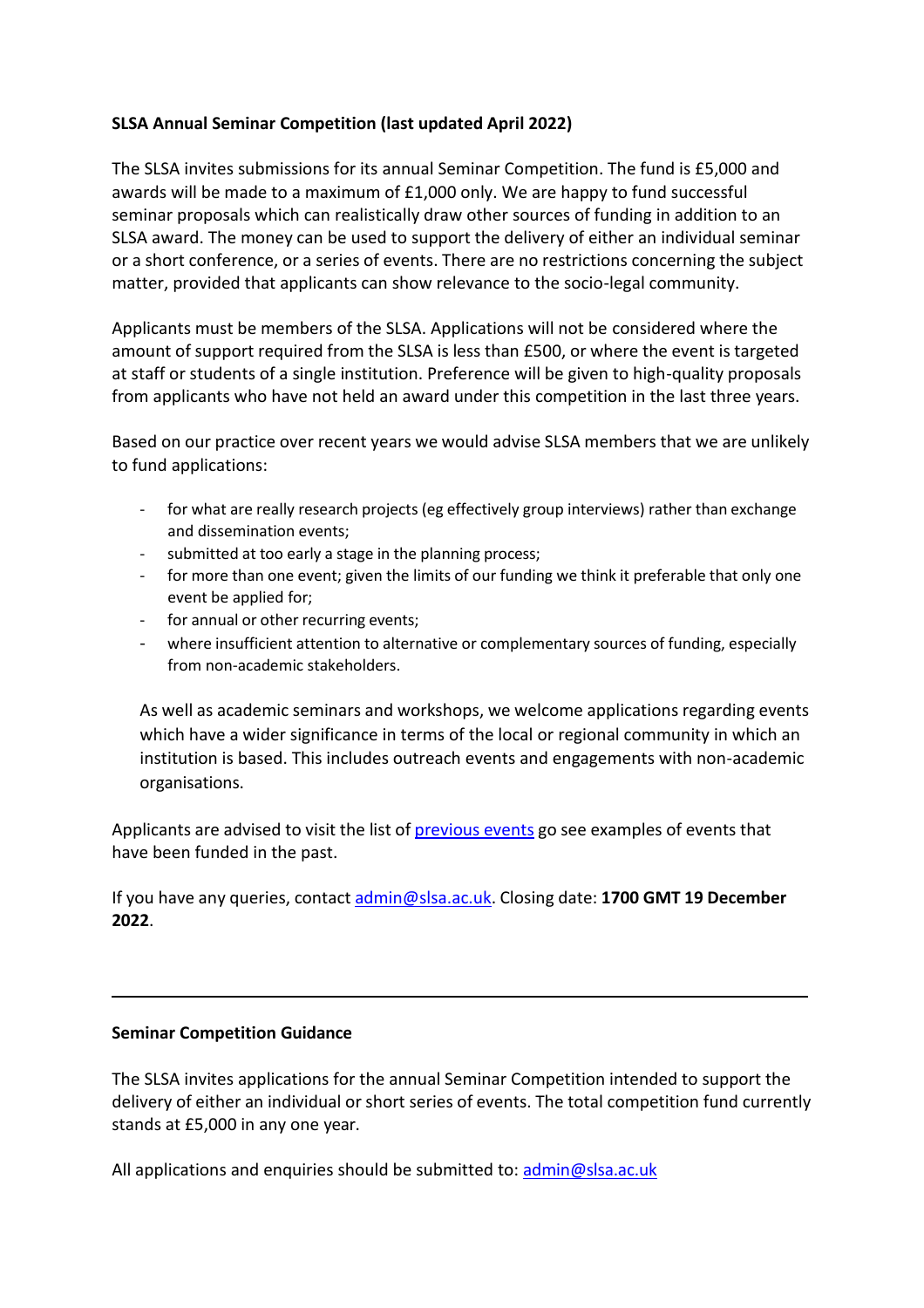### **SLSA Annual Seminar Competition (last updated April 2022)**

The SLSA invites submissions for its annual Seminar Competition. The fund is £5,000 and awards will be made to a maximum of £1,000 only. We are happy to fund successful seminar proposals which can realistically draw other sources of funding in addition to an SLSA award. The money can be used to support the delivery of either an individual seminar or a short conference, or a series of events. There are no restrictions concerning the subject matter, provided that applicants can show relevance to the socio-legal community.

Applicants must be members of the SLSA. Applications will not be considered where the amount of support required from the SLSA is less than £500, or where the event is targeted at staff or students of a single institution. Preference will be given to high-quality proposals from applicants who have not held an award under this competition in the last three years.

Based on our practice over recent years we would advise SLSA members that we are unlikely to fund applications:

- for what are really research projects (eg effectively group interviews) rather than exchange and dissemination events;
- submitted at too early a stage in the planning process;
- for more than one event; given the limits of our funding we think it preferable that only one event be applied for;
- for annual or other recurring events;
- where insufficient attention to alternative or complementary sources of funding, especially from non-academic stakeholders.

As well as academic seminars and workshops, we welcome applications regarding events which have a wider significance in terms of the local or regional community in which an institution is based. This includes outreach events and engagements with non-academic organisations.

Applicants are advised to visit the list of previous events go see examples of events that have been funded in the past.

If you have any queries, contact [admin@slsa.ac.uk.](mailto:admin@slsa.ac.uk) Closing date: **1700 GMT 19 December 2022**.

### **Seminar Competition Guidance**

The SLSA invites applications for the annual Seminar Competition intended to support the delivery of either an individual or short series of events. The total competition fund currently stands at £5,000 in any one year.

All applications and enquiries should be submitted to: [admin@slsa.ac.uk](mailto:admin@slsa.ac.uk)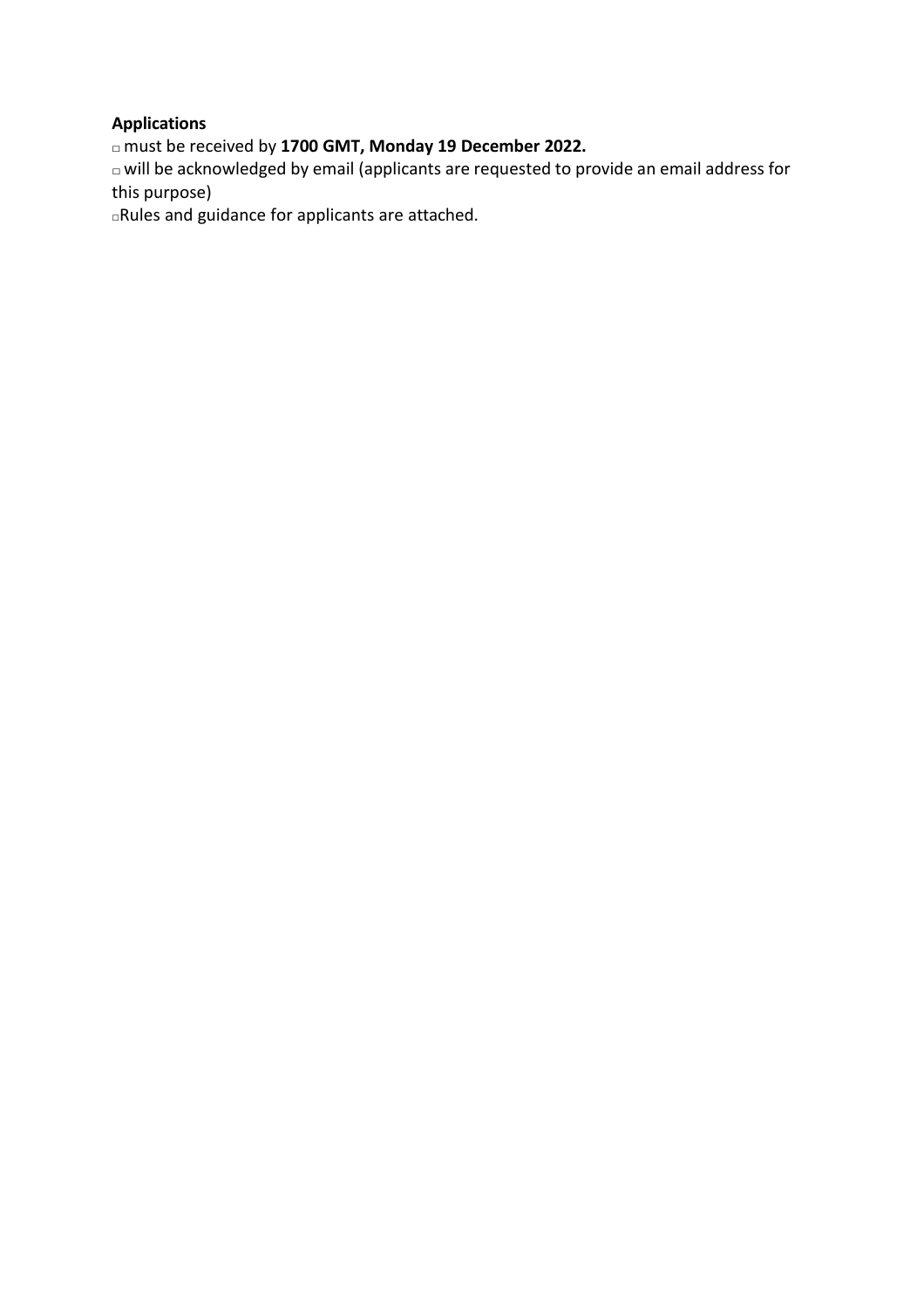## **Applications**

□must be received by **1700 GMT, Monday 19 December 2022.**

 $\Box$  will be acknowledged by email (applicants are requested to provide an email address for this purpose)

□Rules and guidance for applicants are attached.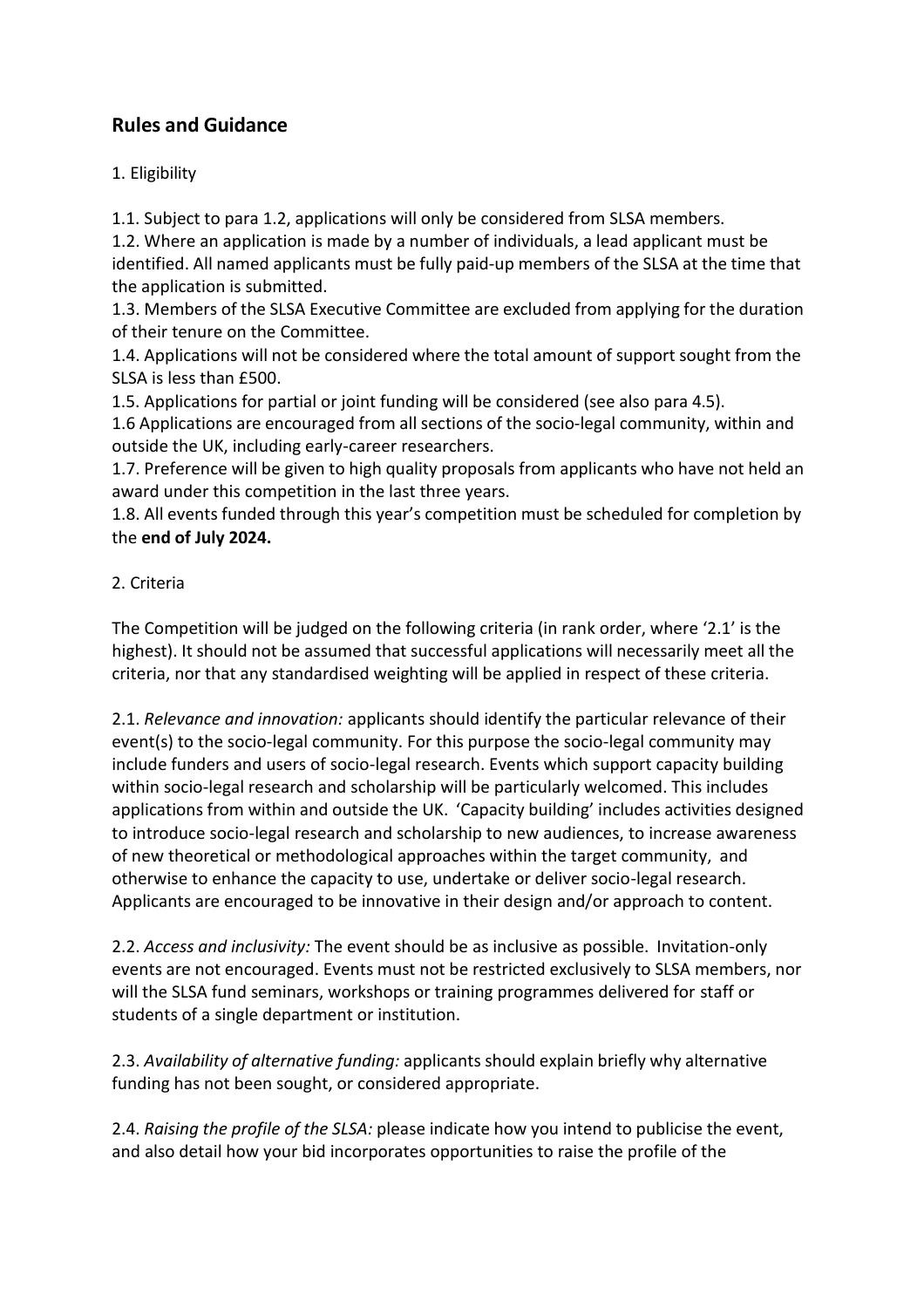# **Rules and Guidance**

## 1. Eligibility

1.1. Subject to para 1.2, applications will only be considered from SLSA members.

1.2. Where an application is made by a number of individuals, a lead applicant must be identified. All named applicants must be fully paid-up members of the SLSA at the time that the application is submitted.

1.3. Members of the SLSA Executive Committee are excluded from applying for the duration of their tenure on the Committee.

1.4. Applications will not be considered where the total amount of support sought from the SLSA is less than £500.

1.5. Applications for partial or joint funding will be considered (see also para 4.5).

1.6 Applications are encouraged from all sections of the socio-legal community, within and outside the UK, including early-career researchers.

1.7. Preference will be given to high quality proposals from applicants who have not held an award under this competition in the last three years.

1.8. All events funded through this year's competition must be scheduled for completion by the **end of July 2024.**

## 2. Criteria

The Competition will be judged on the following criteria (in rank order, where '2.1' is the highest). It should not be assumed that successful applications will necessarily meet all the criteria, nor that any standardised weighting will be applied in respect of these criteria.

2.1. *Relevance and innovation:* applicants should identify the particular relevance of their event(s) to the socio-legal community. For this purpose the socio-legal community may include funders and users of socio-legal research. Events which support capacity building within socio-legal research and scholarship will be particularly welcomed. This includes applications from within and outside the UK. 'Capacity building' includes activities designed to introduce socio-legal research and scholarship to new audiences, to increase awareness of new theoretical or methodological approaches within the target community, and otherwise to enhance the capacity to use, undertake or deliver socio-legal research. Applicants are encouraged to be innovative in their design and/or approach to content.

2.2. *Access and inclusivity:* The event should be as inclusive as possible. Invitation-only events are not encouraged. Events must not be restricted exclusively to SLSA members, nor will the SLSA fund seminars, workshops or training programmes delivered for staff or students of a single department or institution.

2.3. *Availability of alternative funding:* applicants should explain briefly why alternative funding has not been sought, or considered appropriate.

2.4. *Raising the profile of the SLSA:* please indicate how you intend to publicise the event, and also detail how your bid incorporates opportunities to raise the profile of the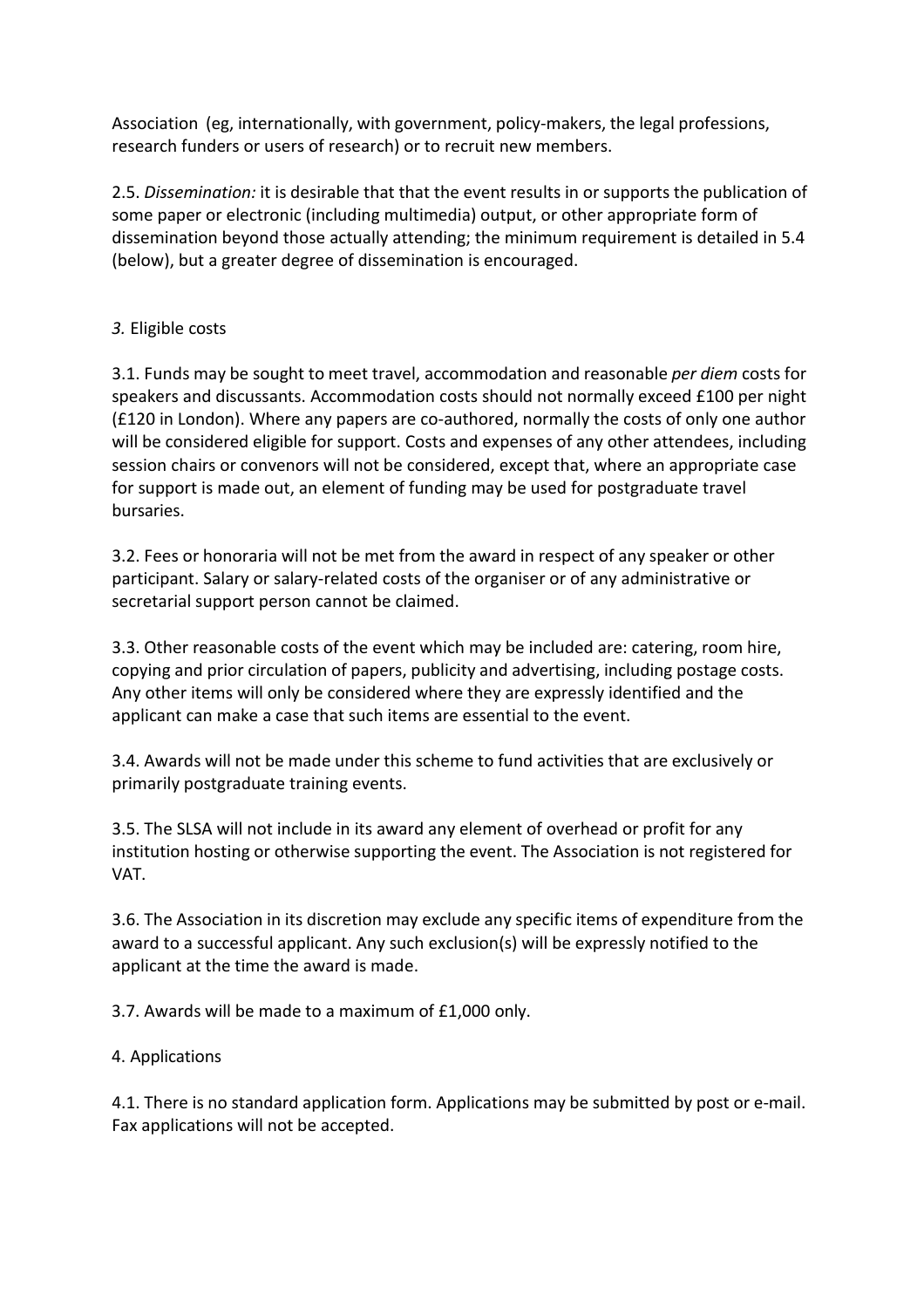Association (eg, internationally, with government, policy-makers, the legal professions, research funders or users of research) or to recruit new members.

2.5. *Dissemination:* it is desirable that that the event results in or supports the publication of some paper or electronic (including multimedia) output, or other appropriate form of dissemination beyond those actually attending; the minimum requirement is detailed in 5.4 (below), but a greater degree of dissemination is encouraged.

## *3.* Eligible costs

3.1. Funds may be sought to meet travel, accommodation and reasonable *per diem* costs for speakers and discussants. Accommodation costs should not normally exceed £100 per night (£120 in London). Where any papers are co-authored, normally the costs of only one author will be considered eligible for support. Costs and expenses of any other attendees, including session chairs or convenors will not be considered, except that, where an appropriate case for support is made out, an element of funding may be used for postgraduate travel bursaries.

3.2. Fees or honoraria will not be met from the award in respect of any speaker or other participant. Salary or salary-related costs of the organiser or of any administrative or secretarial support person cannot be claimed.

3.3. Other reasonable costs of the event which may be included are: catering, room hire, copying and prior circulation of papers, publicity and advertising, including postage costs. Any other items will only be considered where they are expressly identified and the applicant can make a case that such items are essential to the event.

3.4. Awards will not be made under this scheme to fund activities that are exclusively or primarily postgraduate training events.

3.5. The SLSA will not include in its award any element of overhead or profit for any institution hosting or otherwise supporting the event. The Association is not registered for VAT.

3.6. The Association in its discretion may exclude any specific items of expenditure from the award to a successful applicant. Any such exclusion(s) will be expressly notified to the applicant at the time the award is made.

3.7. Awards will be made to a maximum of £1,000 only.

### 4. Applications

4.1. There is no standard application form. Applications may be submitted by post or e-mail. Fax applications will not be accepted.